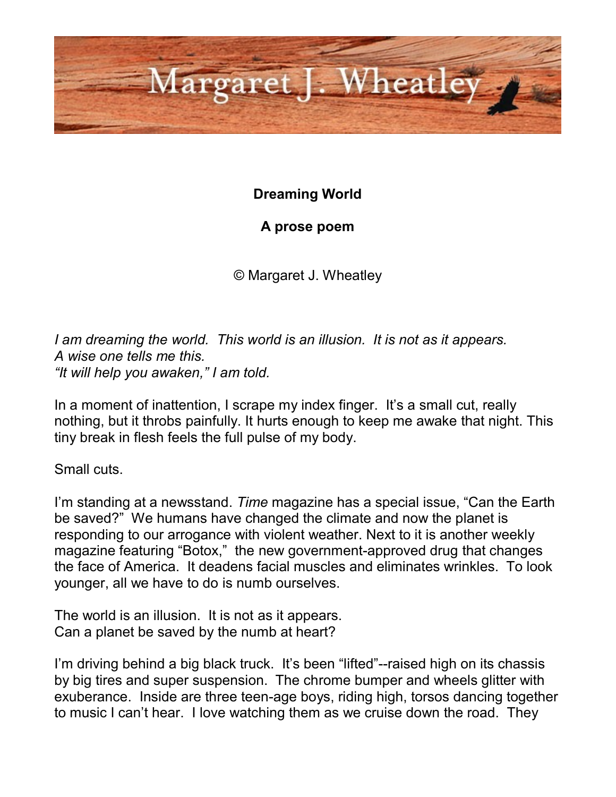

## **Dreaming World**

## **A prose poem**

© Margaret J. Wheatley

*I am dreaming the world. This world is an illusion. It is not as it appears. A wise one tells me this. "It will help you awaken," I am told.*

In a moment of inattention, I scrape my index finger. It's a small cut, really nothing, but it throbs painfully. It hurts enough to keep me awake that night. This tiny break in flesh feels the full pulse of my body.

Small cuts.

I'm standing at a newsstand. *Time* magazine has a special issue, "Can the Earth be saved?" We humans have changed the climate and now the planet is responding to our arrogance with violent weather. Next to it is another weekly magazine featuring "Botox," the new government-approved drug that changes the face of America. It deadens facial muscles and eliminates wrinkles. To look younger, all we have to do is numb ourselves.

The world is an illusion. It is not as it appears. Can a planet be saved by the numb at heart?

I'm driving behind a big black truck. It's been "lifted"--raised high on its chassis by big tires and super suspension. The chrome bumper and wheels glitter with exuberance. Inside are three teen-age boys, riding high, torsos dancing together to music I can't hear. I love watching them as we cruise down the road. They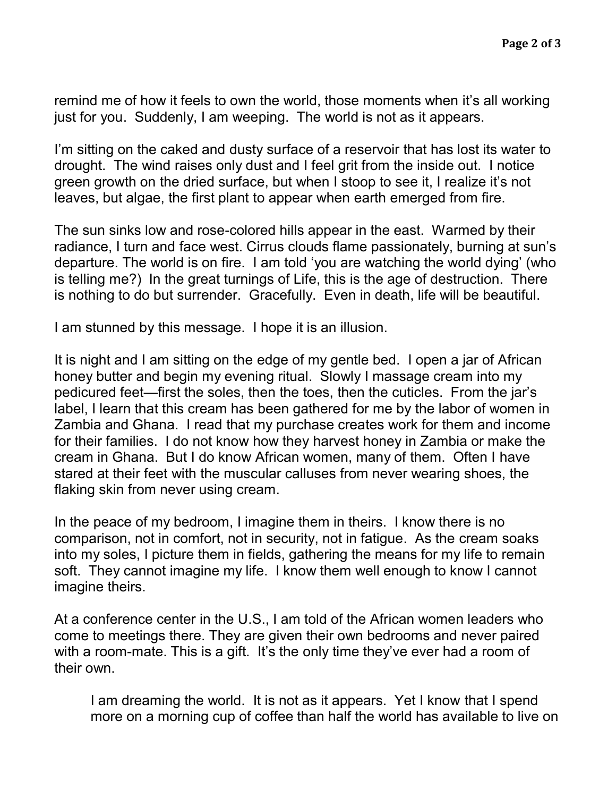remind me of how it feels to own the world, those moments when it's all working just for you. Suddenly, I am weeping. The world is not as it appears.

I'm sitting on the caked and dusty surface of a reservoir that has lost its water to drought. The wind raises only dust and I feel grit from the inside out. I notice green growth on the dried surface, but when I stoop to see it, I realize it's not leaves, but algae, the first plant to appear when earth emerged from fire.

The sun sinks low and rose-colored hills appear in the east. Warmed by their radiance, I turn and face west. Cirrus clouds flame passionately, burning at sun's departure. The world is on fire. I am told 'you are watching the world dying' (who is telling me?) In the great turnings of Life, this is the age of destruction. There is nothing to do but surrender. Gracefully. Even in death, life will be beautiful.

I am stunned by this message. I hope it is an illusion.

It is night and I am sitting on the edge of my gentle bed. I open a jar of African honey butter and begin my evening ritual. Slowly I massage cream into my pedicured feet—first the soles, then the toes, then the cuticles. From the jar's label, I learn that this cream has been gathered for me by the labor of women in Zambia and Ghana. I read that my purchase creates work for them and income for their families. I do not know how they harvest honey in Zambia or make the cream in Ghana. But I do know African women, many of them. Often I have stared at their feet with the muscular calluses from never wearing shoes, the flaking skin from never using cream.

In the peace of my bedroom, I imagine them in theirs. I know there is no comparison, not in comfort, not in security, not in fatigue. As the cream soaks into my soles, I picture them in fields, gathering the means for my life to remain soft. They cannot imagine my life. I know them well enough to know I cannot imagine theirs.

At a conference center in the U.S., I am told of the African women leaders who come to meetings there. They are given their own bedrooms and never paired with a room-mate. This is a gift. It's the only time they've ever had a room of their own.

I am dreaming the world. It is not as it appears. Yet I know that I spend more on a morning cup of coffee than half the world has available to live on